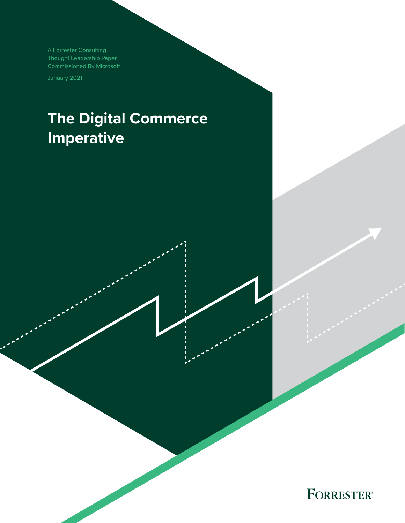A Forrester Consulting Thought Leadership Paper Commissioned By Microsoft

January 2021

# **The Digital Commerce Imperative**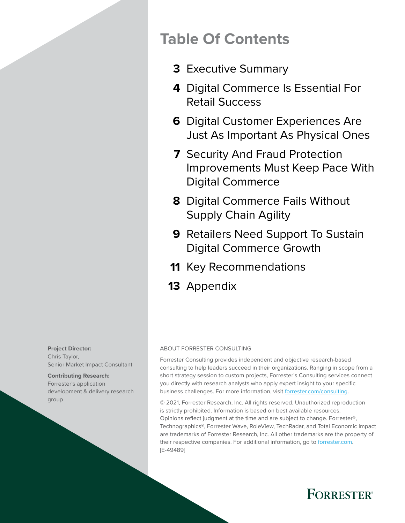## **Table Of Contents**

- [Executive Summary](#page-2-0) **3**
- [Digital Commerce Is Essential For](#page-3-0)  **4**  [Retail Success](#page-3-0)
- **6** Digital Customer Experiences Are [Just As Important As Physical Ones](#page-5-0)
- **7** Security And Fraud Protection [Improvements Must Keep Pace With](#page-6-0)  [Digital Commerce](#page-6-0)
- [Digital Commerce Fails Without](#page-7-0)  **8**  [Supply Chain Agility](#page-7-0)
- **9** Retailers Need Support To Sustain [Digital Commerce Growth](#page-8-0)
- 11 [Key Recommendations](#page-10-0)
- 13 [Appendix](#page-12-0)

#### **Project Director:**  Chris Taylor,

Senior Market Impact Consultant

#### **Contributing Research:**

Forrester's application development & delivery research group

#### ABOUT FORRESTER CONSULTING

Forrester Consulting provides independent and objective research-based consulting to help leaders succeed in their organizations. Ranging in scope from a short strategy session to custom projects, Forrester's Consulting services connect you directly with research analysts who apply expert insight to your specific business challenges. For more information, visit [forrester.com/consulting.](https://go.forrester.com/consulting/)

© 2021, Forrester Research, Inc. All rights reserved. Unauthorized reproduction is strictly prohibited. Information is based on best available resources. Opinions reflect judgment at the time and are subject to change. Forrester®, Technographics®, Forrester Wave, RoleView, TechRadar, and Total Economic Impact are trademarks of Forrester Research, Inc. All other trademarks are the property of their respective companies. For additional information, go to [forrester.com](https://www.forrester.com/home/). [E-49489]

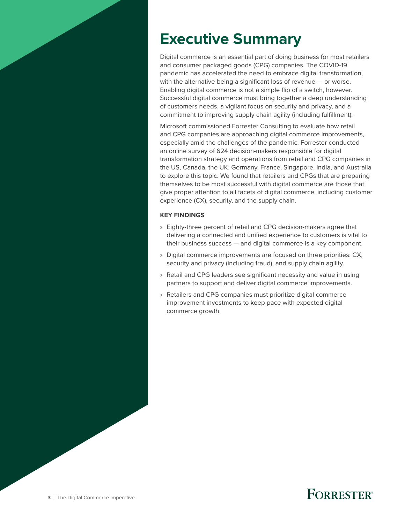# <span id="page-2-0"></span>**Executive Summary**

Digital commerce is an essential part of doing business for most retailers and consumer packaged goods (CPG) companies. The COVID-19 pandemic has accelerated the need to embrace digital transformation, with the alternative being a significant loss of revenue — or worse. Enabling digital commerce is not a simple flip of a switch, however. Successful digital commerce must bring together a deep understanding of customers needs, a vigilant focus on security and privacy, and a commitment to improving supply chain agility (including fulfillment).

Microsoft commissioned Forrester Consulting to evaluate how retail and CPG companies are approaching digital commerce improvements, especially amid the challenges of the pandemic. Forrester conducted an online survey of 624 decision-makers responsible for digital transformation strategy and operations from retail and CPG companies in the US, Canada, the UK, Germany, France, Singapore, India, and Australia to explore this topic. We found that retailers and CPGs that are preparing themselves to be most successful with digital commerce are those that give proper attention to all facets of digital commerce, including customer experience (CX), security, and the supply chain.

#### **KEY FINDINGS**

- › Eighty-three percent of retail and CPG decision-makers agree that delivering a connected and unified experience to customers is vital to their business success — and digital commerce is a key component.
- › Digital commerce improvements are focused on three priorities: CX, security and privacy (including fraud), and supply chain agility.
- › Retail and CPG leaders see significant necessity and value in using partners to support and deliver digital commerce improvements.
- › Retailers and CPG companies must prioritize digital commerce improvement investments to keep pace with expected digital commerce growth.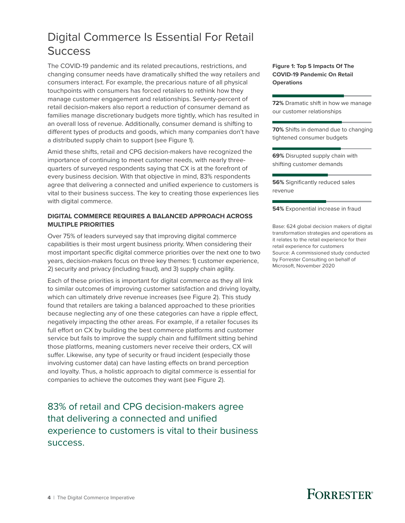### <span id="page-3-0"></span>Digital Commerce Is Essential For Retail **Success**

The COVID-19 pandemic and its related precautions, restrictions, and changing consumer needs have dramatically shifted the way retailers and consumers interact. For example, the precarious nature of all physical touchpoints with consumers has forced retailers to rethink how they manage customer engagement and relationships. Seventy-percent of retail decision-makers also report a reduction of consumer demand as families manage discretionary budgets more tightly, which has resulted in an overall loss of revenue. Additionally, consumer demand is shifting to different types of products and goods, which many companies don't have a distributed supply chain to support (see Figure 1).

Amid these shifts, retail and CPG decision-makers have recognized the importance of continuing to meet customer needs, with nearly threequarters of surveyed respondents saying that CX is at the forefront of every business decision. With that objective in mind, 83% respondents agree that delivering a connected and unified experience to customers is vital to their business success. The key to creating those experiences lies with digital commerce.

#### **DIGITAL COMMERCE REQUIRES A BALANCED APPROACH ACROSS MULTIPLE PRIORITIES**

Over 75% of leaders surveyed say that improving digital commerce capabilities is their most urgent business priority. When considering their most important specific digital commerce priorities over the next one to two years, decision-makers focus on three key themes: 1) customer experience, 2) security and privacy (including fraud), and 3) supply chain agility.

Each of these priorities is important for digital commerce as they all link to similar outcomes of improving customer satisfaction and driving loyalty, which can ultimately drive revenue increases (see Figure 2). This study found that retailers are taking a balanced approached to these priorities because neglecting any of one these categories can have a ripple effect, negatively impacting the other areas. For example, if a retailer focuses its full effort on CX by building the best commerce platforms and customer service but fails to improve the supply chain and fulfillment sitting behind those platforms, meaning customers never receive their orders, CX will suffer. Likewise, any type of security or fraud incident (especially those involving customer data) can have lasting effects on brand perception and loyalty. Thus, a holistic approach to digital commerce is essential for companies to achieve the outcomes they want (see Figure 2).

83% of retail and CPG decision-makers agree that delivering a connected and unified experience to customers is vital to their business success.

**Figure 1: Top 5 Impacts Of The COVID-19 Pandemic On Retail Operations**

**72%** Dramatic shift in how we manage our customer relationships

**70%** Shifts in demand due to changing tightened consumer budgets

**69%** Disrupted supply chain with shifting customer demands

**56%** Significantly reduced sales revenue

**54%** Exponential increase in fraud

Base: 624 global decision makers of digital transformation strategies and operations as it relates to the retail experience for their retail experience for customers Source: A commissioned study conducted by Forrester Consulting on behalf of Microsoft, November 2020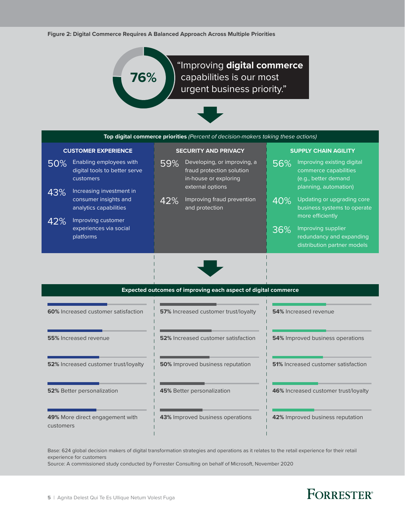**Figure 2: Digital Commerce Requires A Balanced Approach Across Multiple Priorities**



"Improving **digital commerce** capabilities is our most urgent business priority."



| Top digital commerce priorities (Percent of decision-makers taking these actions) |                                                                                                          |                             |                                                                                                       |                             |                                                                                                      |  |  |
|-----------------------------------------------------------------------------------|----------------------------------------------------------------------------------------------------------|-----------------------------|-------------------------------------------------------------------------------------------------------|-----------------------------|------------------------------------------------------------------------------------------------------|--|--|
| <b>CUSTOMER EXPERIENCE</b>                                                        |                                                                                                          | <b>SECURITY AND PRIVACY</b> |                                                                                                       | <b>SUPPLY CHAIN AGILITY</b> |                                                                                                      |  |  |
| 50%                                                                               | Enabling employees with<br>digital tools to better serve<br><b>customers</b><br>Increasing investment in | 59%                         | Developing, or improving, a<br>fraud protection solution<br>in-house or exploring<br>external options | 56%                         | Improving existing digital<br>commerce capabilities<br>(e.g., better demand<br>planning, automation) |  |  |
| 43%                                                                               | consumer insights and<br>analytics capabilities<br>Improving customer                                    | 42%                         | Improving fraud prevention<br>and protection                                                          | 40%                         | Updating or upgrading core<br>business systems to operate<br>more efficiently                        |  |  |
| 42%                                                                               | experiences via social<br><i>platforms</i>                                                               |                             |                                                                                                       | 36%                         | Improving supplier<br>redundancy and expanding<br>distribution partner models                        |  |  |
|                                                                                   |                                                                                                          |                             |                                                                                                       |                             |                                                                                                      |  |  |



| <b>Expected outcomes of improving each aspect of digital commerce</b> |                                             |                                            |  |  |  |  |
|-----------------------------------------------------------------------|---------------------------------------------|--------------------------------------------|--|--|--|--|
| 60% Increased customer satisfaction                                   | <b>57%</b> Increased customer trust/loyalty | <b>54%</b> Increased revenue               |  |  |  |  |
| 55% Increased revenue                                                 | <b>52%</b> Increased customer satisfaction  | <b>54%</b> Improved business operations    |  |  |  |  |
| <b>52%</b> Increased customer trust/loyalty                           | <b>50%</b> Improved business reputation     | <b>51%</b> Increased customer satisfaction |  |  |  |  |
| <b>52%</b> Better personalization                                     | <b>45%</b> Better personalization           | 46% Increased customer trust/loyalty       |  |  |  |  |
| 49% More direct engagement with<br>customers                          | <b>43%</b> Improved business operations     | 42% Improved business reputation           |  |  |  |  |

Base: 624 global decision makers of digital transformation strategies and operations as it relates to the retail experience for their retail experience for customers

Source: A commissioned study conducted by Forrester Consulting on behalf of Microsoft, November 2020

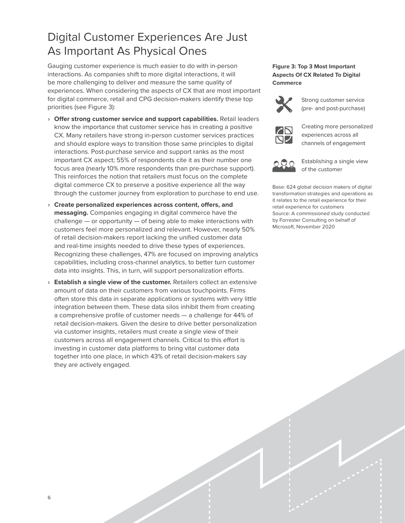### <span id="page-5-0"></span>Digital Customer Experiences Are Just As Important As Physical Ones

Gauging customer experience is much easier to do with in-person interactions. As companies shift to more digital interactions, it will be more challenging to deliver and measure the same quality of experiences. When considering the aspects of CX that are most important for digital commerce, retail and CPG decision-makers identify these top priorities (see Figure 3):

- › **Offer strong customer service and support capabilities.** Retail leaders know the importance that customer service has in creating a positive CX. Many retailers have strong in-person customer services practices and should explore ways to transition those same principles to digital interactions. Post-purchase service and support ranks as the most important CX aspect; 55% of respondents cite it as their number one focus area (nearly 10% more respondents than pre-purchase support). This reinforces the notion that retailers must focus on the complete digital commerce CX to preserve a positive experience all the way through the customer journey from exploration to purchase to end use.
- › **Create personalized experiences across content, offers, and messaging.** Companies engaging in digital commerce have the challenge — or opportunity — of being able to make interactions with customers feel more personalized and relevant. However, nearly 50% of retail decision-makers report lacking the unified customer data and real-time insights needed to drive these types of experiences. Recognizing these challenges, 47% are focused on improving analytics capabilities, including cross-channel analytics, to better turn customer data into insights. This, in turn, will support personalization efforts.
- › **Establish a single view of the customer.** Retailers collect an extensive amount of data on their customers from various touchpoints. Firms often store this data in separate applications or systems with very little integration between them. These data silos inhibit them from creating a comprehensive profile of customer needs — a challenge for 44% of retail decision-makers. Given the desire to drive better personalization via customer insights, retailers must create a single view of their customers across all engagement channels. Critical to this effort is investing in customer data platforms to bring vital customer data together into one place, in which 43% of retail decision-makers say they are actively engaged.

#### **Figure 3: Top 3 Most Important Aspects Of CX Related To Digital Commerce**



Strong customer service (pre- and post-purchase)



Creating more personalized experiences across all channels of engagement



Establishing a single view of the customer

Base: 624 global decision makers of digital transformation strategies and operations as it relates to the retail experience for their retail experience for customers Source: A commissioned study conducted by Forrester Consulting on behalf of Microsoft, November 2020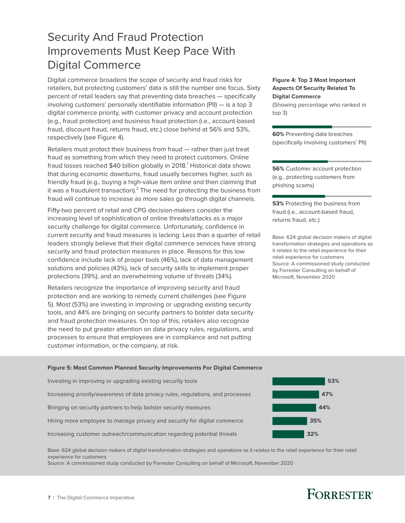### <span id="page-6-0"></span>Security And Fraud Protection Improvements Must Keep Pace With Digital Commerce

Digital commerce broadens the scope of security and fraud risks for retailers, but protecting customers' data is still the number one focus. Sixty percent of retail leaders say that preventing data breaches — specifically involving customers' personally identifiable information (PII) — is a top 3 digital commerce priority, with customer privacy and account protection (e.g., fraud protection) and business fraud protection (i.e., account-based fraud, discount fraud, returns fraud, etc.) close behind at 56% and 53%, respectively (see Figure 4).

Retailers must protect their business from fraud — rather than just treat fraud as something from which they need to protect customers. Online fraud losses reached \$40 billion globally in 2018. $^{\rm 1}$  Historical data shows that during economic downturns, fraud usually becomes higher, such as friendly fraud (e.g., buying a high-value item online and then claiming that it was a fraudulent transaction). $^2$  The need for protecting the business from fraud will continue to increase as more sales go through digital channels.

Fifty-two percent of retail and CPG decision-makers consider the increasing level of sophistication of online threats/attacks as a major security challenge for digital commerce. Unfortunately, confidence in current security and fraud measures is lacking: Less than a quarter of retail leaders strongly believe that their digital commerce services have strong security and fraud protection measures in place. Reasons for this low confidence include lack of proper tools (46%), lack of data management solutions and policies (43%), lack of security skills to implement proper protections (39%), and an overwhelming volume of threats (34%).

Retailers recognize the importance of improving security and fraud protection and are working to remedy current challenges (see Figure 5). Most (53%) are investing in improving or upgrading existing security tools, and 44% are bringing on security partners to bolster data security and fraud protection measures. On top of this, retailers also recognize the need to put greater attention on data privacy rules, regulations, and processes to ensure that employees are in compliance and not putting customer information, or the company, at risk.

#### **Figure 4: Top 3 Most Important Aspects Of Security Related To Digital Commerce**

(Showing percentage who ranked in top 3)

**60%** Preventing data breaches (specifically involving customers' PII)

**56%** Customer account protection (e.g., protecting customers from phishing scams)

**53%** Protecting the business from fraud (i.e., account-based fraud, returns fraud, etc.)

Base: 624 global decision makers of digital transformation strategies and operations as it relates to the retail experience for their retail experience for customers Source: A commissioned study conducted by Forrester Consulting on behalf of Microsoft, November 2020

#### **Figure 5: Most Common Planned Security Improvements For Digital Commerce**

Investing in improving or upgrading existing security tools **53%** Increasing priority/awareness of data privacy rules, regulations, and processes **47%** Bringing on security partners to help bolster security measures **44%** Hiring more employee to manage privacy and security for digital commerce **35%** Increasing customer outreach/communication regarding potential threats **32%**

Base: 624 global decision makers of digital transformation strategies and operations as it relates to the retail experience for their retail experience for customers

Source: A commissioned study conducted by Forrester Consulting on behalf of Microsoft, November 2020

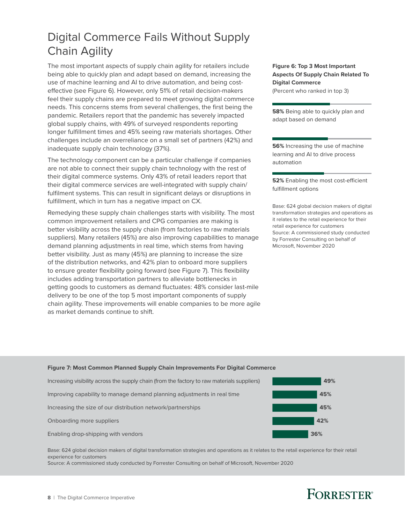### <span id="page-7-0"></span>Digital Commerce Fails Without Supply Chain Agility

The most important aspects of supply chain agility for retailers include being able to quickly plan and adapt based on demand, increasing the use of machine learning and AI to drive automation, and being costeffective (see Figure 6). However, only 51% of retail decision-makers feel their supply chains are prepared to meet growing digital commerce needs. This concerns stems from several challenges, the first being the pandemic. Retailers report that the pandemic has severely impacted global supply chains, with 49% of surveyed respondents reporting longer fulfillment times and 45% seeing raw materials shortages. Other challenges include an overreliance on a small set of partners (42%) and inadequate supply chain technology (37%).

The technology component can be a particular challenge if companies are not able to connect their supply chain technology with the rest of their digital commerce systems. Only 43% of retail leaders report that their digital commerce services are well-integrated with supply chain/ fulfilment systems. This can result in significant delays or disruptions in fulfillment, which in turn has a negative impact on CX.

Remedying these supply chain challenges starts with visibility. The most common improvement retailers and CPG companies are making is better visibility across the supply chain (from factories to raw materials suppliers). Many retailers (45%) are also improving capabilities to manage demand planning adjustments in real time, which stems from having better visibility. Just as many (45%) are planning to increase the size of the distribution networks, and 42% plan to onboard more suppliers to ensure greater flexibility going forward (see Figure 7). This flexibility includes adding transportation partners to alleviate bottlenecks in getting goods to customers as demand fluctuates: 48% consider last-mile delivery to be one of the top 5 most important components of supply chain agility. These improvements will enable companies to be more agile as market demands continue to shift.

**Figure 6: Top 3 Most Important Aspects Of Supply Chain Related To Digital Commerce** (Percent who ranked in top 3)

**58%** Being able to quickly plan and adapt based on demand

**56%** Increasing the use of machine learning and AI to drive process automation

**52%** Enabling the most cost-efficient fulfillment options

Base: 624 global decision makers of digital transformation strategies and operations as it relates to the retail experience for their retail experience for customers Source: A commissioned study conducted by Forrester Consulting on behalf of Microsoft, November 2020

#### **Figure 7: Most Common Planned Supply Chain Improvements For Digital Commerce**



Base: 624 global decision makers of digital transformation strategies and operations as it relates to the retail experience for their retail experience for customers

Source: A commissioned study conducted by Forrester Consulting on behalf of Microsoft, November 2020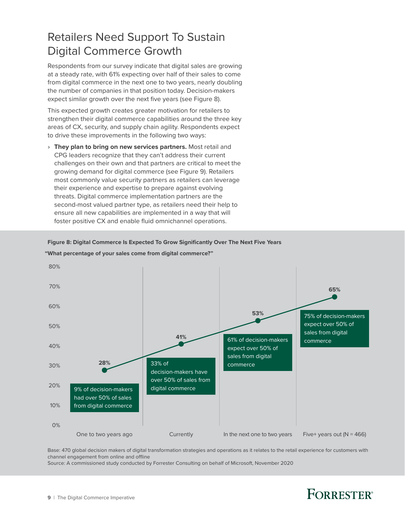### <span id="page-8-0"></span>Retailers Need Support To Sustain Digital Commerce Growth

Respondents from our survey indicate that digital sales are growing at a steady rate, with 61% expecting over half of their sales to come from digital commerce in the next one to two years, nearly doubling the number of companies in that position today. Decision-makers expect similar growth over the next five years (see Figure 8).

This expected growth creates greater motivation for retailers to strengthen their digital commerce capabilities around the three key areas of CX, security, and supply chain agility. Respondents expect to drive these improvements in the following two ways:

 › **They plan to bring on new services partners.** Most retail and CPG leaders recognize that they can't address their current challenges on their own and that partners are critical to meet the growing demand for digital commerce (see Figure 9). Retailers most commonly value security partners as retailers can leverage their experience and expertise to prepare against evolving threats. Digital commerce implementation partners are the second-most valued partner type, as retailers need their help to ensure all new capabilities are implemented in a way that will foster positive CX and enable fluid omnichannel operations.

#### **Figure 8: Digital Commerce Is Expected To Grow Significantly Over The Next Five Years**



#### **"What percentage of your sales come from digital commerce?"**

Base: 470 global decision makers of digital transformation strategies and operations as it relates to the retail experience for customers with channel engagement from online and offline

Source: A commissioned study conducted by Forrester Consulting on behalf of Microsoft, November 2020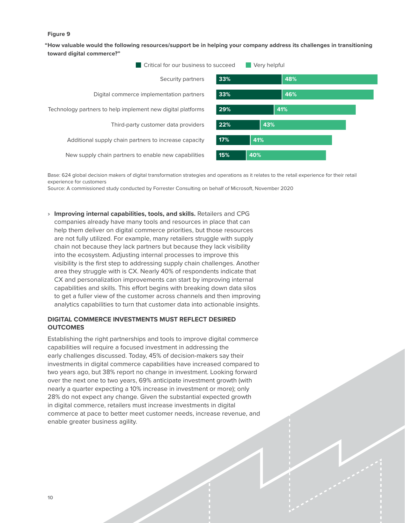#### **Figure 9**

**"How valuable would the following resources/support be in helping your company address its challenges in transitioning toward digital commerce?"**



Base: 624 global decision makers of digital transformation strategies and operations as it relates to the retail experience for their retail experience for customers

Source: A commissioned study conducted by Forrester Consulting on behalf of Microsoft, November 2020

 › **Improving internal capabilities, tools, and skills.** Retailers and CPG companies already have many tools and resources in place that can help them deliver on digital commerce priorities, but those resources are not fully utilized. For example, many retailers struggle with supply chain not because they lack partners but because they lack visibility into the ecosystem. Adjusting internal processes to improve this visibility is the first step to addressing supply chain challenges. Another area they struggle with is CX. Nearly 40% of respondents indicate that CX and personalization improvements can start by improving internal capabilities and skills. This effort begins with breaking down data silos to get a fuller view of the customer across channels and then improving analytics capabilities to turn that customer data into actionable insights.

#### **DIGITAL COMMERCE INVESTMENTS MUST REFLECT DESIRED OUTCOMES**

Establishing the right partnerships and tools to improve digital commerce capabilities will require a focused investment in addressing the early challenges discussed. Today, 45% of decision-makers say their investments in digital commerce capabilities have increased compared to two years ago, but 38% report no change in investment. Looking forward over the next one to two years, 69% anticipate investment growth (with nearly a quarter expecting a 10% increase in investment or more); only 28% do not expect any change. Given the substantial expected growth in digital commerce, retailers must increase investments in digital commerce at pace to better meet customer needs, increase revenue, and enable greater business agility.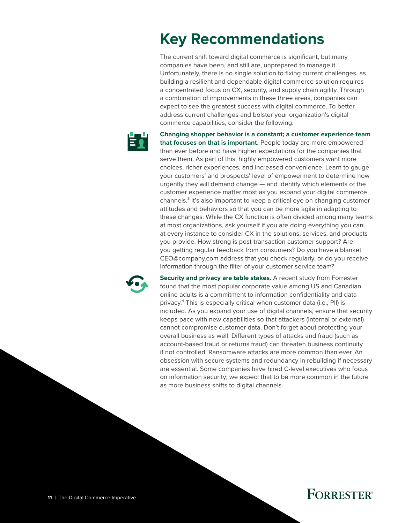# <span id="page-10-0"></span>**Key Recommendations**

The current shift toward digital commerce is significant, but many companies have been, and still are, unprepared to manage it. Unfortunately, there is no single solution to fixing current challenges, as building a resilient and dependable digital commerce solution requires a concentrated focus on CX, security, and supply chain agility. Through a combination of improvements in these three areas, companies can expect to see the greatest success with digital commerce. To better address current challenges and bolster your organization's digital commerce capabilities, consider the following:



**Changing shopper behavior is a constant; a customer experience team that focuses on that is important.** People today are more empowered than ever before and have higher expectations for the companies that serve them. As part of this, highly empowered customers want more choices, richer experiences, and increased convenience. Learn to gauge your customers' and prospects' level of empowerment to determine how urgently they will demand change — and identify which elements of the customer experience matter most as you expand your digital commerce channels.<sup>3</sup> It's also important to keep a critical eye on changing customer attitudes and behaviors so that you can be more agile in adapting to these changes. While the CX function is often divided among many teams at most organizations, ask yourself if you are doing everything you can at every instance to consider CX in the solutions, services, and products you provide. How strong is post-transaction customer support? Are you getting regular feedback from consumers? Do you have a blanket CEO@company.com address that you check regularly, or do you receive information through the filter of your customer service team?



**Security and privacy are table stakes.** A recent study from Forrester found that the most popular corporate value among US and Canadian online adults is a commitment to information confidentiality and data privacy.<sup>4</sup> This is especially critical when customer data (i.e., PII) is included. As you expand your use of digital channels, ensure that security keeps pace with new capabilities so that attackers (internal or external) cannot compromise customer data. Don't forget about protecting your overall business as well. Different types of attacks and fraud (such as account-based fraud or returns fraud) can threaten business continuity if not controlled. Ransomware attacks are more common than ever. An obsession with secure systems and redundancy in rebuilding if necessary are essential. Some companies have hired C-level executives who focus on information security; we expect that to be more common in the future as more business shifts to digital channels.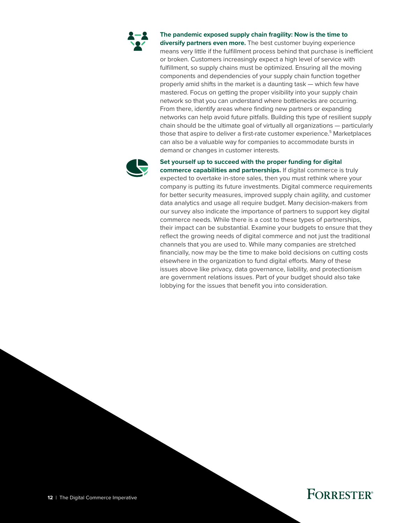

#### **The pandemic exposed supply chain fragility: Now is the time to**

**diversify partners even more.** The best customer buying experience means very little if the fulfillment process behind that purchase is inefficient or broken. Customers increasingly expect a high level of service with fulfillment, so supply chains must be optimized. Ensuring all the moving components and dependencies of your supply chain function together properly amid shifts in the market is a daunting task — which few have mastered. Focus on getting the proper visibility into your supply chain network so that you can understand where bottlenecks are occurring. From there, identify areas where finding new partners or expanding networks can help avoid future pitfalls. Building this type of resilient supply chain should be the ultimate goal of virtually all organizations — particularly those that aspire to deliver a first-rate customer experience.<sup>5</sup> Marketplaces can also be a valuable way for companies to accommodate bursts in demand or changes in customer interests.



#### **Set yourself up to succeed with the proper funding for digital**

**commerce capabilities and partnerships.** If digital commerce is truly expected to overtake in-store sales, then you must rethink where your company is putting its future investments. Digital commerce requirements for better security measures, improved supply chain agility, and customer data analytics and usage all require budget. Many decision-makers from our survey also indicate the importance of partners to support key digital commerce needs. While there is a cost to these types of partnerships, their impact can be substantial. Examine your budgets to ensure that they reflect the growing needs of digital commerce and not just the traditional channels that you are used to. While many companies are stretched financially, now may be the time to make bold decisions on cutting costs elsewhere in the organization to fund digital efforts. Many of these issues above like privacy, data governance, liability, and protectionism are government relations issues. Part of your budget should also take lobbying for the issues that benefit you into consideration.